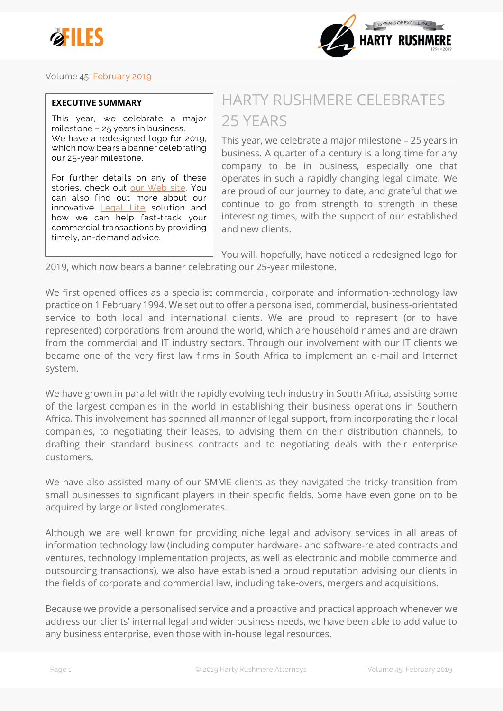



## **Volume 45: February 2019**

## **EXECUTIVE SUMMARY**

**This year, we celebrate a major milestone – 25 years in business. We have a redesigned logo for 2019, which now bears a banner celebrating our 25-year milestone.**

**For further details on any of these stories, check out [our Web site.](http://www.harty.law/insights/?utm_source=efile45&utm_medium=newsletter&utm_content=exec&utm_campaign=efile_vol45) You can also find out more about our innovative [Legal Lite](http://www.harty.law/2017/05/12/introducing-legal-lite/?utm_source=efile45&utm_medium=newsletter&utm_content=exec&utm_campaign=efile_vol45) solution and how we can help fast-track your commercial transactions by providing timely, on-demand advice.**

## HARTY RUSHMERE CELEBRATES 25 YEARS

This year, we celebrate a major milestone – 25 years in business. A quarter of a century is a long time for any company to be in business, especially one that operates in such a rapidly changing legal climate. We are proud of our journey to date, and grateful that we continue to go from strength to strength in these interesting times, with the support of our established and new clients.

You will, hopefully, have noticed a redesigned logo for

2019, which now bears a banner celebrating our 25-year milestone.

We first opened offices as a specialist commercial, corporate and information-technology law practice on 1 February 1994. We set out to offer a personalised, commercial, business-orientated service to both local and international clients. We are proud to represent (or to have represented) corporations from around the world, which are household names and are drawn from the commercial and IT industry sectors. Through our involvement with our IT clients we became one of the very first law firms in South Africa to implement an e-mail and Internet system.

We have grown in parallel with the rapidly evolving tech industry in South Africa, assisting some of the largest companies in the world in establishing their business operations in Southern Africa. This involvement has spanned all manner of legal support, from incorporating their local companies, to negotiating their leases, to advising them on their distribution channels, to drafting their standard business contracts and to negotiating deals with their enterprise customers.

We have also assisted many of our SMME clients as they navigated the tricky transition from small businesses to significant players in their specific fields. Some have even gone on to be acquired by large or listed conglomerates.

Although we are well known for providing niche legal and advisory services in all areas of information technology law (including computer hardware- and software-related contracts and ventures, technology implementation projects, as well as electronic and mobile commerce and outsourcing transactions), we also have established a proud reputation advising our clients in the fields of corporate and commercial law, including take-overs, mergers and acquisitions.

Because we provide a personalised service and a proactive and practical approach whenever we address our clients' internal legal and wider business needs, we have been able to add value to any business enterprise, even those with in-house legal resources.